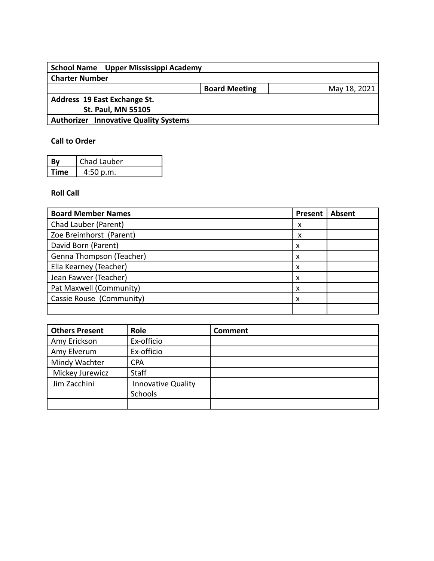| School Name Upper Mississippi Academy        |                      |              |
|----------------------------------------------|----------------------|--------------|
| <b>Charter Number</b>                        |                      |              |
|                                              | <b>Board Meeting</b> | May 18, 2021 |
| Address 19 East Exchange St.                 |                      |              |
| <b>St. Paul, MN 55105</b>                    |                      |              |
| <b>Authorizer Innovative Quality Systems</b> |                      |              |
|                                              |                      |              |

## **Call to Order**

|             | Chad Lauber |
|-------------|-------------|
| <b>Time</b> | 4:50 p.m.   |

### **Roll Call**

| <b>Board Member Names</b> | <b>Present</b> | <b>Absent</b> |
|---------------------------|----------------|---------------|
| Chad Lauber (Parent)      | x              |               |
| Zoe Breimhorst (Parent)   | x              |               |
| David Born (Parent)       | x              |               |
| Genna Thompson (Teacher)  | x              |               |
| Ella Kearney (Teacher)    | x              |               |
| Jean Fawver (Teacher)     | x              |               |
| Pat Maxwell (Community)   | x              |               |
| Cassie Rouse (Community)  | x              |               |
|                           |                |               |

| <b>Others Present</b> | Role                                 | <b>Comment</b> |
|-----------------------|--------------------------------------|----------------|
| Amy Erickson          | Ex-officio                           |                |
| Amy Elverum           | Ex-officio                           |                |
| Mindy Wachter         | <b>CPA</b>                           |                |
| Mickey Jurewicz       | <b>Staff</b>                         |                |
| Jim Zacchini          | <b>Innovative Quality</b><br>Schools |                |
|                       |                                      |                |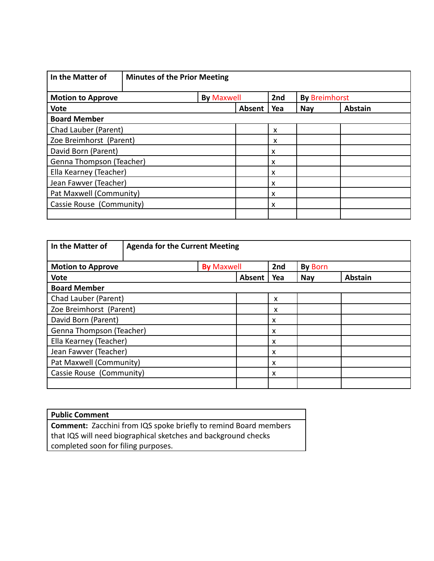| In the Matter of              | <b>Minutes of the Prior Meeting</b> |                           |                      |                |
|-------------------------------|-------------------------------------|---------------------------|----------------------|----------------|
| <b>Motion to Approve</b>      | <b>By Maxwell</b>                   | 2nd                       | <b>By Breimhorst</b> |                |
| <b>Vote</b>                   | Absent                              | Yea                       | <b>Nay</b>           | <b>Abstain</b> |
| <b>Board Member</b>           |                                     |                           |                      |                |
| Chad Lauber (Parent)          |                                     | X                         |                      |                |
| Zoe Breimhorst (Parent)       |                                     | X                         |                      |                |
| David Born (Parent)           |                                     | X                         |                      |                |
| Genna Thompson (Teacher)      |                                     | $\boldsymbol{\mathsf{x}}$ |                      |                |
| Ella Kearney (Teacher)        |                                     | $\boldsymbol{\mathsf{x}}$ |                      |                |
| Jean Fawver (Teacher)         |                                     | $\boldsymbol{\mathsf{x}}$ |                      |                |
| Pat Maxwell (Community)       |                                     | X                         |                      |                |
| Cassie Rouse (Community)<br>X |                                     |                           |                      |                |
|                               |                                     |                           |                      |                |

| In the Matter of         | <b>Agenda for the Current Meeting</b> |        |                           |                |                |
|--------------------------|---------------------------------------|--------|---------------------------|----------------|----------------|
| <b>Motion to Approve</b> | <b>By Maxwell</b>                     |        | 2nd                       | <b>By Born</b> |                |
| <b>Vote</b>              |                                       | Absent | Yea                       | <b>Nay</b>     | <b>Abstain</b> |
| <b>Board Member</b>      |                                       |        |                           |                |                |
| Chad Lauber (Parent)     |                                       |        | X                         |                |                |
| Zoe Breimhorst (Parent)  |                                       |        | X                         |                |                |
| David Born (Parent)      |                                       |        | $\boldsymbol{\mathsf{x}}$ |                |                |
| Genna Thompson (Teacher) |                                       |        | X                         |                |                |
| Ella Kearney (Teacher)   |                                       |        | $\boldsymbol{\mathsf{x}}$ |                |                |
| Jean Fawver (Teacher)    |                                       |        | $\boldsymbol{\mathsf{x}}$ |                |                |
| Pat Maxwell (Community)  |                                       |        | $\boldsymbol{\mathsf{x}}$ |                |                |
| Cassie Rouse (Community) |                                       |        | $\boldsymbol{\mathsf{x}}$ |                |                |
|                          |                                       |        |                           |                |                |

| <b>Public Comment</b>                                                   |
|-------------------------------------------------------------------------|
| <b>Comment:</b> Zacchini from IQS spoke briefly to remind Board members |
| that IQS will need biographical sketches and background checks          |
| completed soon for filing purposes.                                     |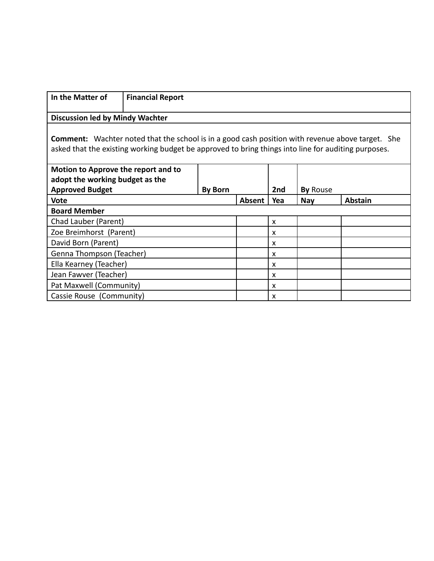| In the Matter of                                          | <b>Financial Report</b>                                                                                                                                                                                        |                |               |     |                 |                |
|-----------------------------------------------------------|----------------------------------------------------------------------------------------------------------------------------------------------------------------------------------------------------------------|----------------|---------------|-----|-----------------|----------------|
| <b>Discussion led by Mindy Wachter</b>                    |                                                                                                                                                                                                                |                |               |     |                 |                |
|                                                           | <b>Comment:</b> Wachter noted that the school is in a good cash position with revenue above target. She<br>asked that the existing working budget be approved to bring things into line for auditing purposes. |                |               |     |                 |                |
| Motion to Approve the report and to                       |                                                                                                                                                                                                                |                |               |     |                 |                |
| adopt the working budget as the<br><b>Approved Budget</b> |                                                                                                                                                                                                                | <b>By Born</b> |               | 2nd | <b>By Rouse</b> |                |
| <b>Vote</b>                                               |                                                                                                                                                                                                                |                | <b>Absent</b> | Yea | <b>Nay</b>      | <b>Abstain</b> |
| <b>Board Member</b>                                       |                                                                                                                                                                                                                |                |               |     |                 |                |
| Chad Lauber (Parent)                                      |                                                                                                                                                                                                                |                |               | X   |                 |                |
| Zoe Breimhorst (Parent)                                   |                                                                                                                                                                                                                |                |               | x   |                 |                |
| David Born (Parent)                                       |                                                                                                                                                                                                                |                |               | X   |                 |                |
| Genna Thompson (Teacher)                                  |                                                                                                                                                                                                                |                |               | X   |                 |                |
| Ella Kearney (Teacher)                                    |                                                                                                                                                                                                                |                |               | X   |                 |                |
| Jean Fawver (Teacher)                                     |                                                                                                                                                                                                                |                |               | X   |                 |                |
| Pat Maxwell (Community)                                   |                                                                                                                                                                                                                |                |               | x   |                 |                |
| Cassie Rouse (Community)                                  |                                                                                                                                                                                                                |                |               | X   |                 |                |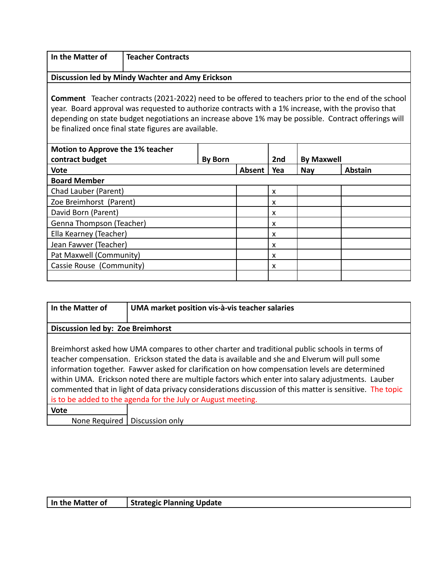| In the Matter of | Teacher Contracts |
|------------------|-------------------|
|                  |                   |

#### **Discussion led by Mindy Wachter and Amy Erickson**

**Comment** Teacher contracts (2021-2022) need to be offered to teachers prior to the end of the school year. Board approval was requested to authorize contracts with a 1% increase, with the proviso that depending on state budget negotiations an increase above 1% may be possible. Contract offerings will be finalized once final state figures are available.

| <b>Motion to Approve the 1% teacher</b><br>contract budget | <b>By Born</b> |        | 2nd                       | <b>By Maxwell</b> |                |
|------------------------------------------------------------|----------------|--------|---------------------------|-------------------|----------------|
| <b>Vote</b>                                                |                | Absent | Yea                       | Nay               | <b>Abstain</b> |
| <b>Board Member</b>                                        |                |        |                           |                   |                |
| Chad Lauber (Parent)                                       |                |        | X                         |                   |                |
| Zoe Breimhorst (Parent)                                    |                |        | $\boldsymbol{\mathsf{x}}$ |                   |                |
| David Born (Parent)                                        |                |        | X                         |                   |                |
| Genna Thompson (Teacher)                                   |                |        | $\boldsymbol{\mathsf{x}}$ |                   |                |
| Ella Kearney (Teacher)                                     |                |        | $\boldsymbol{\mathsf{x}}$ |                   |                |
| Jean Fawver (Teacher)                                      |                |        | X                         |                   |                |
| Pat Maxwell (Community)                                    |                |        | X                         |                   |                |
| Cassie Rouse (Community)                                   |                |        | $\boldsymbol{\mathsf{x}}$ |                   |                |
|                                                            |                |        |                           |                   |                |

| In the Matter of                  | UMA market position vis-à-vis teacher salaries                                                                                                                                                                                                                                                                                                                                                                                                                                                                                                                                     |
|-----------------------------------|------------------------------------------------------------------------------------------------------------------------------------------------------------------------------------------------------------------------------------------------------------------------------------------------------------------------------------------------------------------------------------------------------------------------------------------------------------------------------------------------------------------------------------------------------------------------------------|
| Discussion led by: Zoe Breimhorst |                                                                                                                                                                                                                                                                                                                                                                                                                                                                                                                                                                                    |
|                                   | Breimhorst asked how UMA compares to other charter and traditional public schools in terms of<br>teacher compensation. Erickson stated the data is available and she and Elverum will pull some<br>information together. Fawver asked for clarification on how compensation levels are determined<br>within UMA. Erickson noted there are multiple factors which enter into salary adjustments. Lauber<br>commented that in light of data privacy considerations discussion of this matter is sensitive. The topic<br>is to be added to the agenda for the July or August meeting. |
| <b>Vote</b>                       |                                                                                                                                                                                                                                                                                                                                                                                                                                                                                                                                                                                    |
|                                   | None Required   Discussion only                                                                                                                                                                                                                                                                                                                                                                                                                                                                                                                                                    |

| In the Matter of | <b>Strategic Planning Update</b> |
|------------------|----------------------------------|
|------------------|----------------------------------|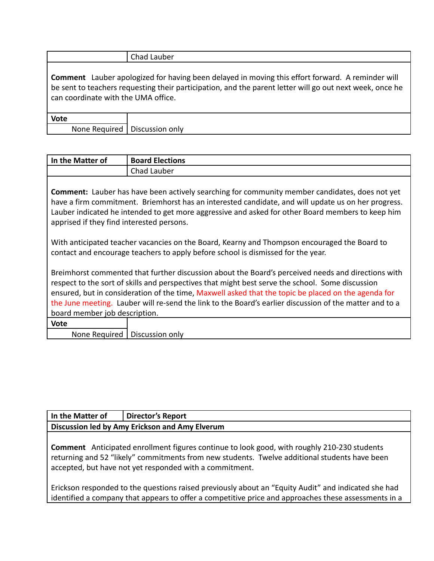|                                                                                                                                                                                                                                                            | Chad Lauber                     |  |
|------------------------------------------------------------------------------------------------------------------------------------------------------------------------------------------------------------------------------------------------------------|---------------------------------|--|
| <b>Comment</b> Lauber apologized for having been delayed in moving this effort forward. A reminder will<br>be sent to teachers requesting their participation, and the parent letter will go out next week, once he<br>can coordinate with the UMA office. |                                 |  |
| <b>Vote</b>                                                                                                                                                                                                                                                |                                 |  |
|                                                                                                                                                                                                                                                            | None Required   Discussion only |  |

| In the Matter of | <b>Board Elections</b> |
|------------------|------------------------|
|                  | <b>Chad Lauber</b>     |

**Comment:** Lauber has have been actively searching for community member candidates, does not yet have a firm commitment. Briemhorst has an interested candidate, and will update us on her progress. Lauber indicated he intended to get more aggressive and asked for other Board members to keep him apprised if they find interested persons.

With anticipated teacher vacancies on the Board, Kearny and Thompson encouraged the Board to contact and encourage teachers to apply before school is dismissed for the year.

Breimhorst commented that further discussion about the Board's perceived needs and directions with respect to the sort of skills and perspectives that might best serve the school. Some discussion ensured, but in consideration of the time, Maxwell asked that the topic be placed on the agenda for the June meeting. Lauber will re-send the link to the Board's earlier discussion of the matter and to a board member job description.

**Vote**

None Required | Discussion only

# **In the Matter of Director's Report Discussion led by Amy Erickson and Amy Elverum**

**Comment** Anticipated enrollment figures continue to look good, with roughly 210-230 students returning and 52 "likely" commitments from new students. Twelve additional students have been accepted, but have not yet responded with a commitment.

Erickson responded to the questions raised previously about an "Equity Audit" and indicated she had identified a company that appears to offer a competitive price and approaches these assessments in a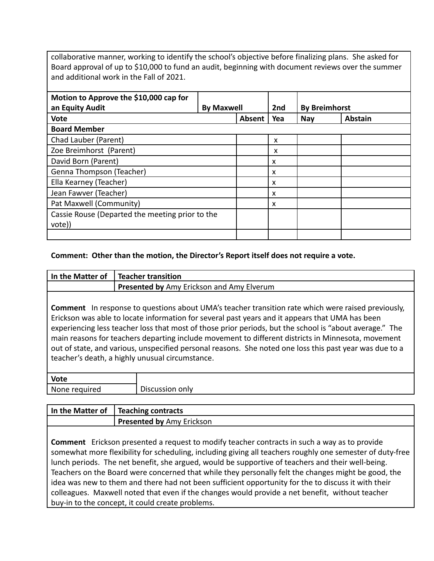collaborative manner, working to identify the school's objective before finalizing plans. She asked for Board approval of up to \$10,000 to fund an audit, beginning with document reviews over the summer and additional work in the Fall of 2021.

| Motion to Approve the \$10,000 cap for<br>an Equity Audit | <b>By Maxwell</b> |        | 2nd                       | <b>By Breimhorst</b> |                |
|-----------------------------------------------------------|-------------------|--------|---------------------------|----------------------|----------------|
| <b>Vote</b>                                               |                   | Absent | Yea                       | <b>Nay</b>           | <b>Abstain</b> |
| <b>Board Member</b>                                       |                   |        |                           |                      |                |
| Chad Lauber (Parent)                                      |                   |        | X                         |                      |                |
| Zoe Breimhorst (Parent)                                   |                   |        | x                         |                      |                |
| David Born (Parent)                                       |                   |        | $\boldsymbol{\mathsf{x}}$ |                      |                |
| Genna Thompson (Teacher)                                  |                   |        | $\boldsymbol{\mathsf{x}}$ |                      |                |
| Ella Kearney (Teacher)                                    |                   |        | X                         |                      |                |
| Jean Fawver (Teacher)                                     |                   |        | $\boldsymbol{\mathsf{x}}$ |                      |                |
| Pat Maxwell (Community)                                   |                   |        | $\boldsymbol{\mathsf{x}}$ |                      |                |
| Cassie Rouse (Departed the meeting prior to the           |                   |        |                           |                      |                |
| vote))                                                    |                   |        |                           |                      |                |
|                                                           |                   |        |                           |                      |                |

#### **Comment: Other than the motion, the Director's Report itself does not require a vote.**

| In the Matter of | <b>Teacher transition</b>                                                                                                                                                                                                                                                                                                                                                                                                                                                                                                                                                    |  |  |
|------------------|------------------------------------------------------------------------------------------------------------------------------------------------------------------------------------------------------------------------------------------------------------------------------------------------------------------------------------------------------------------------------------------------------------------------------------------------------------------------------------------------------------------------------------------------------------------------------|--|--|
|                  | Presented by Amy Erickson and Amy Elverum                                                                                                                                                                                                                                                                                                                                                                                                                                                                                                                                    |  |  |
| Comment          | In response to questions about UMA's teacher transition rate which were raised previously,<br>Erickson was able to locate information for several past years and it appears that UMA has been<br>experiencing less teacher loss that most of those prior periods, but the school is "about average." The<br>main reasons for teachers departing include movement to different districts in Minnesota, movement<br>out of state, and various, unspecified personal reasons. She noted one loss this past year was due to a<br>teacher's death, a highly unusual circumstance. |  |  |
|                  |                                                                                                                                                                                                                                                                                                                                                                                                                                                                                                                                                                              |  |  |
| <b>Vote</b>      |                                                                                                                                                                                                                                                                                                                                                                                                                                                                                                                                                                              |  |  |
| None required    | Discussion only                                                                                                                                                                                                                                                                                                                                                                                                                                                                                                                                                              |  |  |

| In the Matter of   Teaching contracts |
|---------------------------------------|
| <b>Presented by Amy Erickson</b>      |

**Comment** Erickson presented a request to modify teacher contracts in such a way as to provide somewhat more flexibility for scheduling, including giving all teachers roughly one semester of duty-free lunch periods. The net benefit, she argued, would be supportive of teachers and their well-being. Teachers on the Board were concerned that while they personally felt the changes might be good, the idea was new to them and there had not been sufficient opportunity for the to discuss it with their colleagues. Maxwell noted that even if the changes would provide a net benefit, without teacher buy-in to the concept, it could create problems.